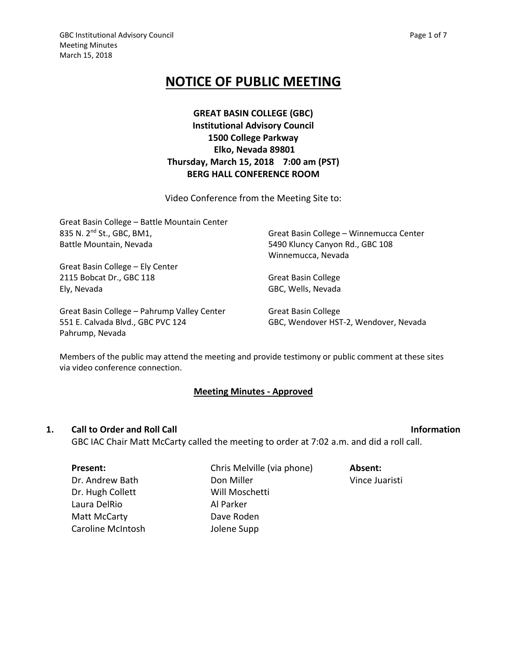GBC Institutional Advisory Council **Advices** Council Page 1 of 7 Meeting Minutes March 15, 2018

# **NOTICE OF PUBLIC MEETING**

### **GREAT BASIN COLLEGE (GBC) Institutional Advisory Council 1500 College Parkway Elko, Nevada 89801 Thursday, March 15, 2018 7:00 am (PST) BERG HALL CONFERENCE ROOM**

Video Conference from the Meeting Site to:

| Great Basin College - Battle Mountain Center |
|----------------------------------------------|
| 835 N. 2 <sup>nd</sup> St., GBC, BM1,        |
| Battle Mountain, Nevada                      |

Great Basin College – Ely Center 2115 Bobcat Dr., GBC 118 Ely, Nevada

Great Basin College – Pahrump Valley Center 551 E. Calvada Blvd., GBC PVC 124 Pahrump, Nevada

Great Basin College – Winnemucca Center 5490 Kluncy Canyon Rd., GBC 108 Winnemucca, Nevada

Great Basin College GBC, Wells, Nevada

Great Basin College GBC, Wendover HST-2, Wendover, Nevada

Members of the public may attend the meeting and provide testimony or public comment at these sites via video conference connection.

### **Meeting Minutes - Approved**

### **1. Call to Order and Roll Call Information**

GBC IAC Chair Matt McCarty called the meeting to order at 7:02 a.m. and did a roll call.

### **Present:**

Dr. Andrew Bath Dr. Hugh Collett Laura DelRio Matt McCarty Caroline McIntosh

Chris Melville (via phone) Don Miller Will Moschetti Al Parker Dave Roden Jolene Supp

**Absent:** Vince Juaristi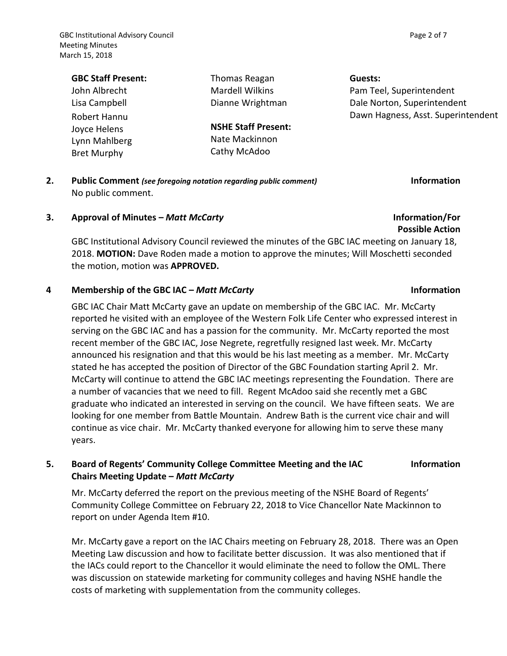| <b>GBC Staff Present:</b>                                           | Thomas Reagan                                                | Guests:                            |
|---------------------------------------------------------------------|--------------------------------------------------------------|------------------------------------|
| John Albrecht                                                       | <b>Mardell Wilkins</b>                                       | Pam Teel, Superintendent           |
| Lisa Campbell                                                       | Dianne Wrightman                                             | Dale Norton, Superintendent        |
| Robert Hannu<br>Joyce Helens<br>Lynn Mahlberg<br><b>Bret Murphy</b> | <b>NSHE Staff Present:</b><br>Nate Mackinnon<br>Cathy McAdoo | Dawn Hagness, Asst. Superintendent |

**2. Public Comment** *(see foregoing notation regarding public comment)* **Information** No public comment.

### **3. Approval of Minutes –** *Matt McCarty* **Information/For**

## GBC Institutional Advisory Council reviewed the minutes of the GBC IAC meeting on January 18, 2018. **MOTION:** Dave Roden made a motion to approve the minutes; Will Moschetti seconded the motion, motion was **APPROVED.**

### **4 Membership of the GBC IAC –** *Matt McCarty* **Information**

GBC IAC Chair Matt McCarty gave an update on membership of the GBC IAC. Mr. McCarty reported he visited with an employee of the Western Folk Life Center who expressed interest in serving on the GBC IAC and has a passion for the community. Mr. McCarty reported the most recent member of the GBC IAC, Jose Negrete, regretfully resigned last week. Mr. McCarty announced his resignation and that this would be his last meeting as a member. Mr. McCarty stated he has accepted the position of Director of the GBC Foundation starting April 2. Mr. McCarty will continue to attend the GBC IAC meetings representing the Foundation. There are a number of vacancies that we need to fill. Regent McAdoo said she recently met a GBC graduate who indicated an interested in serving on the council. We have fifteen seats. We are looking for one member from Battle Mountain. Andrew Bath is the current vice chair and will continue as vice chair. Mr. McCarty thanked everyone for allowing him to serve these many years.

### **5. Board of Regents' Community College Committee Meeting and the IAC Chairs Meeting Update –** *Matt McCarty* **Information**

Mr. McCarty deferred the report on the previous meeting of the NSHE Board of Regents' Community College Committee on February 22, 2018 to Vice Chancellor Nate Mackinnon to report on under Agenda Item #10.

Mr. McCarty gave a report on the IAC Chairs meeting on February 28, 2018. There was an Open Meeting Law discussion and how to facilitate better discussion. It was also mentioned that if the IACs could report to the Chancellor it would eliminate the need to follow the OML. There was discussion on statewide marketing for community colleges and having NSHE handle the costs of marketing with supplementation from the community colleges.

**Possible Action**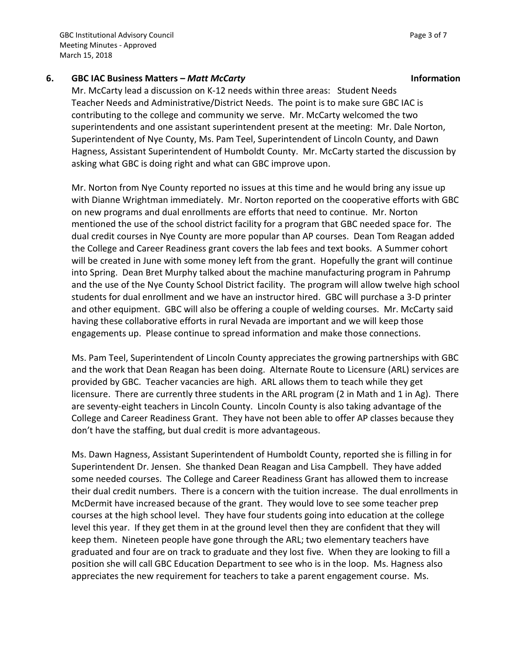GBC Institutional Advisory Council **Advices** Council Page 3 of 7 Meeting Minutes - Approved March 15, 2018

### **6. GBC IAC Business Matters –** *Matt McCarty* **Information**

Mr. McCarty lead a discussion on K-12 needs within three areas: Student Needs Teacher Needs and Administrative/District Needs. The point is to make sure GBC IAC is contributing to the college and community we serve. Mr. McCarty welcomed the two superintendents and one assistant superintendent present at the meeting: Mr. Dale Norton, Superintendent of Nye County, Ms. Pam Teel, Superintendent of Lincoln County, and Dawn Hagness, Assistant Superintendent of Humboldt County. Mr. McCarty started the discussion by asking what GBC is doing right and what can GBC improve upon.

Mr. Norton from Nye County reported no issues at this time and he would bring any issue up with Dianne Wrightman immediately. Mr. Norton reported on the cooperative efforts with GBC on new programs and dual enrollments are efforts that need to continue. Mr. Norton mentioned the use of the school district facility for a program that GBC needed space for. The dual credit courses in Nye County are more popular than AP courses. Dean Tom Reagan added the College and Career Readiness grant covers the lab fees and text books. A Summer cohort will be created in June with some money left from the grant. Hopefully the grant will continue into Spring. Dean Bret Murphy talked about the machine manufacturing program in Pahrump and the use of the Nye County School District facility. The program will allow twelve high school students for dual enrollment and we have an instructor hired. GBC will purchase a 3-D printer and other equipment. GBC will also be offering a couple of welding courses. Mr. McCarty said having these collaborative efforts in rural Nevada are important and we will keep those engagements up. Please continue to spread information and make those connections.

Ms. Pam Teel, Superintendent of Lincoln County appreciates the growing partnerships with GBC and the work that Dean Reagan has been doing. Alternate Route to Licensure (ARL) services are provided by GBC. Teacher vacancies are high. ARL allows them to teach while they get licensure. There are currently three students in the ARL program (2 in Math and 1 in Ag). There are seventy-eight teachers in Lincoln County. Lincoln County is also taking advantage of the College and Career Readiness Grant. They have not been able to offer AP classes because they don't have the staffing, but dual credit is more advantageous.

Ms. Dawn Hagness, Assistant Superintendent of Humboldt County, reported she is filling in for Superintendent Dr. Jensen. She thanked Dean Reagan and Lisa Campbell. They have added some needed courses. The College and Career Readiness Grant has allowed them to increase their dual credit numbers. There is a concern with the tuition increase. The dual enrollments in McDermit have increased because of the grant. They would love to see some teacher prep courses at the high school level. They have four students going into education at the college level this year. If they get them in at the ground level then they are confident that they will keep them. Nineteen people have gone through the ARL; two elementary teachers have graduated and four are on track to graduate and they lost five. When they are looking to fill a position she will call GBC Education Department to see who is in the loop. Ms. Hagness also appreciates the new requirement for teachers to take a parent engagement course. Ms.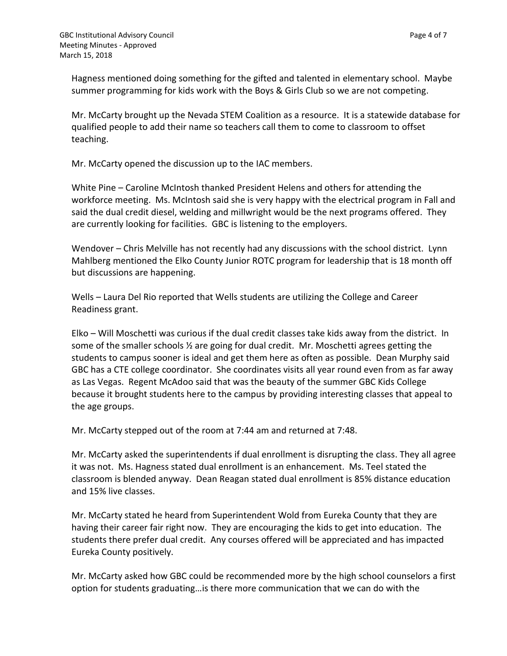Hagness mentioned doing something for the gifted and talented in elementary school. Maybe summer programming for kids work with the Boys & Girls Club so we are not competing.

Mr. McCarty brought up the Nevada STEM Coalition as a resource. It is a statewide database for qualified people to add their name so teachers call them to come to classroom to offset teaching.

Mr. McCarty opened the discussion up to the IAC members.

White Pine – Caroline McIntosh thanked President Helens and others for attending the workforce meeting. Ms. McIntosh said she is very happy with the electrical program in Fall and said the dual credit diesel, welding and millwright would be the next programs offered. They are currently looking for facilities. GBC is listening to the employers.

Wendover – Chris Melville has not recently had any discussions with the school district. Lynn Mahlberg mentioned the Elko County Junior ROTC program for leadership that is 18 month off but discussions are happening.

Wells – Laura Del Rio reported that Wells students are utilizing the College and Career Readiness grant.

Elko – Will Moschetti was curious if the dual credit classes take kids away from the district. In some of the smaller schools  $\frac{1}{2}$  are going for dual credit. Mr. Moschetti agrees getting the students to campus sooner is ideal and get them here as often as possible. Dean Murphy said GBC has a CTE college coordinator. She coordinates visits all year round even from as far away as Las Vegas. Regent McAdoo said that was the beauty of the summer GBC Kids College because it brought students here to the campus by providing interesting classes that appeal to the age groups.

Mr. McCarty stepped out of the room at 7:44 am and returned at 7:48.

Mr. McCarty asked the superintendents if dual enrollment is disrupting the class. They all agree it was not. Ms. Hagness stated dual enrollment is an enhancement. Ms. Teel stated the classroom is blended anyway. Dean Reagan stated dual enrollment is 85% distance education and 15% live classes.

Mr. McCarty stated he heard from Superintendent Wold from Eureka County that they are having their career fair right now. They are encouraging the kids to get into education. The students there prefer dual credit. Any courses offered will be appreciated and has impacted Eureka County positively.

Mr. McCarty asked how GBC could be recommended more by the high school counselors a first option for students graduating…is there more communication that we can do with the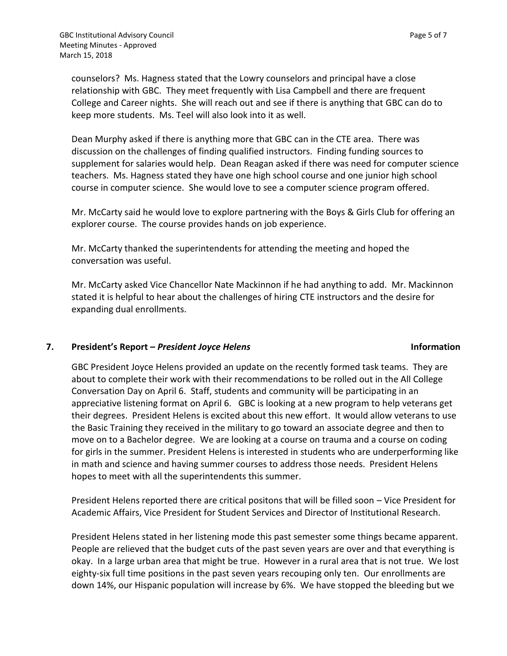counselors? Ms. Hagness stated that the Lowry counselors and principal have a close relationship with GBC. They meet frequently with Lisa Campbell and there are frequent College and Career nights. She will reach out and see if there is anything that GBC can do to keep more students. Ms. Teel will also look into it as well.

Dean Murphy asked if there is anything more that GBC can in the CTE area. There was discussion on the challenges of finding qualified instructors. Finding funding sources to supplement for salaries would help. Dean Reagan asked if there was need for computer science teachers. Ms. Hagness stated they have one high school course and one junior high school course in computer science. She would love to see a computer science program offered.

Mr. McCarty said he would love to explore partnering with the Boys & Girls Club for offering an explorer course. The course provides hands on job experience.

Mr. McCarty thanked the superintendents for attending the meeting and hoped the conversation was useful.

Mr. McCarty asked Vice Chancellor Nate Mackinnon if he had anything to add. Mr. Mackinnon stated it is helpful to hear about the challenges of hiring CTE instructors and the desire for expanding dual enrollments.

### **7. President's Report –** *President Joyce Helens* **Information**

GBC President Joyce Helens provided an update on the recently formed task teams. They are about to complete their work with their recommendations to be rolled out in the All College Conversation Day on April 6. Staff, students and community will be participating in an appreciative listening format on April 6. GBC is looking at a new program to help veterans get their degrees. President Helens is excited about this new effort. It would allow veterans to use the Basic Training they received in the military to go toward an associate degree and then to move on to a Bachelor degree. We are looking at a course on trauma and a course on coding for girls in the summer. President Helens is interested in students who are underperforming like in math and science and having summer courses to address those needs. President Helens hopes to meet with all the superintendents this summer.

President Helens reported there are critical positons that will be filled soon – Vice President for Academic Affairs, Vice President for Student Services and Director of Institutional Research.

President Helens stated in her listening mode this past semester some things became apparent. People are relieved that the budget cuts of the past seven years are over and that everything is okay. In a large urban area that might be true. However in a rural area that is not true. We lost eighty-six full time positions in the past seven years recouping only ten. Our enrollments are down 14%, our Hispanic population will increase by 6%. We have stopped the bleeding but we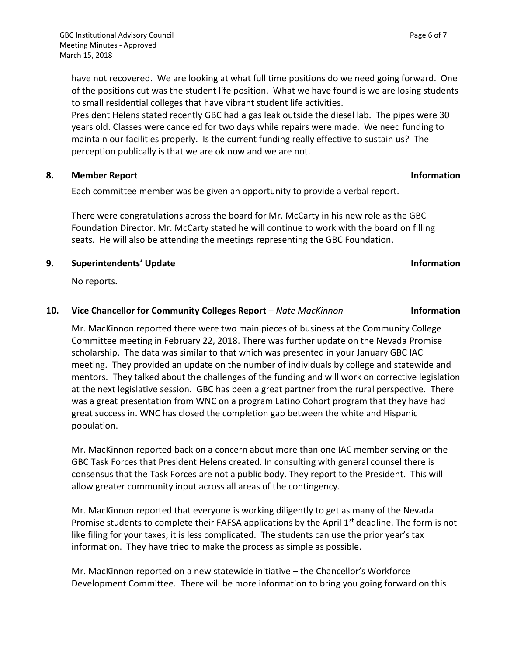have not recovered. We are looking at what full time positions do we need going forward. One of the positions cut was the student life position. What we have found is we are losing students to small residential colleges that have vibrant student life activities.

President Helens stated recently GBC had a gas leak outside the diesel lab. The pipes were 30 years old. Classes were canceled for two days while repairs were made. We need funding to maintain our facilities properly. Is the current funding really effective to sustain us? The perception publically is that we are ok now and we are not.

### **8. Member Report Information**

Each committee member was be given an opportunity to provide a verbal report.

There were congratulations across the board for Mr. McCarty in his new role as the GBC Foundation Director. Mr. McCarty stated he will continue to work with the board on filling seats. He will also be attending the meetings representing the GBC Foundation.

### **9. Superintendents' Update Information**

No reports.

### **10. Vice Chancellor for Community Colleges Report** – *Nate MacKinnon* **Information**

Mr. MacKinnon reported there were two main pieces of business at the Community College Committee meeting in February 22, 2018. There was further update on the Nevada Promise scholarship. The data was similar to that which was presented in your January GBC IAC meeting. They provided an update on the number of individuals by college and statewide and mentors. They talked about the challenges of the funding and will work on corrective legislation at the next legislative session. GBC has been a great partner from the rural perspective. There was a great presentation from WNC on a program Latino Cohort program that they have had great success in. WNC has closed the completion gap between the white and Hispanic population.

Mr. MacKinnon reported back on a concern about more than one IAC member serving on the GBC Task Forces that President Helens created. In consulting with general counsel there is consensus that the Task Forces are not a public body. They report to the President. This will allow greater community input across all areas of the contingency.

Mr. MacKinnon reported that everyone is working diligently to get as many of the Nevada Promise students to complete their FAFSA applications by the April 1<sup>st</sup> deadline. The form is not like filing for your taxes; it is less complicated. The students can use the prior year's tax information. They have tried to make the process as simple as possible.

Mr. MacKinnon reported on a new statewide initiative – the Chancellor's Workforce Development Committee. There will be more information to bring you going forward on this